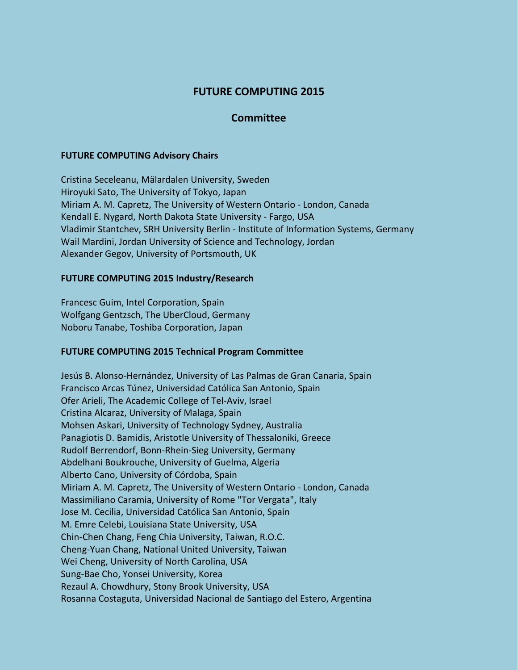# **FUTURE COMPUTING 2015**

## **Committee**

#### **FUTURE COMPUTING Advisory Chairs**

Cristina Seceleanu, Mälardalen University, Sweden Hiroyuki Sato, The University of Tokyo, Japan Miriam A. M. Capretz, The University of Western Ontario - London, Canada Kendall E. Nygard, North Dakota State University - Fargo, USA Vladimir Stantchev, SRH University Berlin - Institute of Information Systems, Germany Wail Mardini, Jordan University of Science and Technology, Jordan Alexander Gegov, University of Portsmouth, UK

## **FUTURE COMPUTING 2015 Industry/Research**

Francesc Guim, Intel Corporation, Spain Wolfgang Gentzsch, The UberCloud, Germany Noboru Tanabe, Toshiba Corporation, Japan

## **FUTURE COMPUTING 2015 Technical Program Committee**

Jesús B. Alonso-Hernández, University of Las Palmas de Gran Canaria, Spain Francisco Arcas Túnez, Universidad Católica San Antonio, Spain Ofer Arieli, The Academic College of Tel-Aviv, Israel Cristina Alcaraz, University of Malaga, Spain Mohsen Askari, University of Technology Sydney, Australia Panagiotis D. Bamidis, Aristotle University of Thessaloniki, Greece Rudolf Berrendorf, Bonn-Rhein-Sieg University, Germany Abdelhani Boukrouche, University of Guelma, Algeria Alberto Cano, University of Córdoba, Spain Miriam A. M. Capretz, The University of Western Ontario - London, Canada Massimiliano Caramia, University of Rome "Tor Vergata", Italy Jose M. Cecilia, Universidad Católica San Antonio, Spain M. Emre Celebi, Louisiana State University, USA Chin-Chen Chang, Feng Chia University, Taiwan, R.O.C. Cheng-Yuan Chang, National United University, Taiwan Wei Cheng, University of North Carolina, USA Sung-Bae Cho, Yonsei University, Korea Rezaul A. Chowdhury, Stony Brook University, USA Rosanna Costaguta, Universidad Nacional de Santiago del Estero, Argentina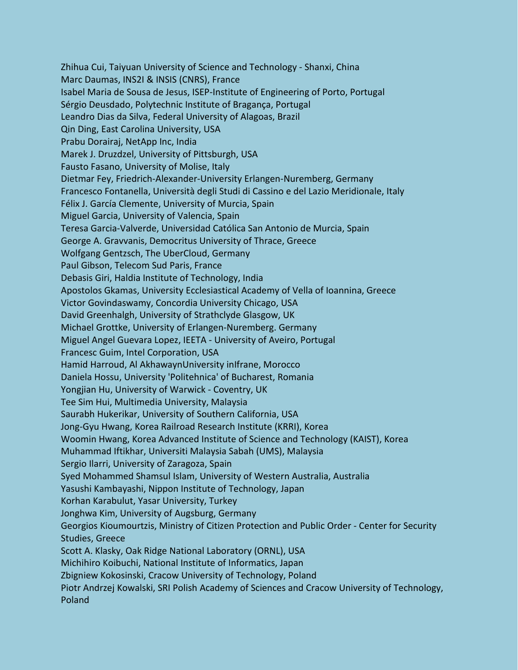Zhihua Cui, Taiyuan University of Science and Technology - Shanxi, China Marc Daumas, INS2I & INSIS (CNRS), France Isabel Maria de Sousa de Jesus, ISEP-Institute of Engineering of Porto, Portugal Sérgio Deusdado, Polytechnic Institute of Bragança, Portugal Leandro Dias da Silva, Federal University of Alagoas, Brazil Qin Ding, East Carolina University, USA Prabu Dorairaj, NetApp Inc, India Marek J. Druzdzel, University of Pittsburgh, USA Fausto Fasano, University of Molise, Italy Dietmar Fey, Friedrich-Alexander-University Erlangen-Nuremberg, Germany Francesco Fontanella, Università degli Studi di Cassino e del Lazio Meridionale, Italy Félix J. García Clemente, University of Murcia, Spain Miguel Garcia, University of Valencia, Spain Teresa Garcia-Valverde, Universidad Católica San Antonio de Murcia, Spain George A. Gravvanis, Democritus University of Thrace, Greece Wolfgang Gentzsch, The UberCloud, Germany Paul Gibson, Telecom Sud Paris, France Debasis Giri, Haldia Institute of Technology, India Apostolos Gkamas, University Ecclesiastical Academy of Vella of Ioannina, Greece Victor Govindaswamy, Concordia University Chicago, USA David Greenhalgh, University of Strathclyde Glasgow, UK Michael Grottke, University of Erlangen-Nuremberg. Germany Miguel Angel Guevara Lopez, IEETA - University of Aveiro, Portugal Francesc Guim, Intel Corporation, USA Hamid Harroud, Al AkhawaynUniversity inIfrane, Morocco Daniela Hossu, University 'Politehnica' of Bucharest, Romania Yongjian Hu, University of Warwick - Coventry, UK Tee Sim Hui, Multimedia University, Malaysia Saurabh Hukerikar, University of Southern California, USA Jong-Gyu Hwang, Korea Railroad Research Institute (KRRI), Korea Woomin Hwang, Korea Advanced Institute of Science and Technology (KAIST), Korea Muhammad Iftikhar, Universiti Malaysia Sabah (UMS), Malaysia Sergio Ilarri, University of Zaragoza, Spain Syed Mohammed Shamsul Islam, University of Western Australia, Australia Yasushi Kambayashi, Nippon Institute of Technology, Japan Korhan Karabulut, Yasar University, Turkey Jonghwa Kim, University of Augsburg, Germany Georgios Kioumourtzis, Ministry of Citizen Protection and Public Order - Center for Security Studies, Greece Scott A. Klasky, Oak Ridge National Laboratory (ORNL), USA Michihiro Koibuchi, National Institute of Informatics, Japan Zbigniew Kokosinski, Cracow University of Technology, Poland Piotr Andrzej Kowalski, SRI Polish Academy of Sciences and Cracow University of Technology, Poland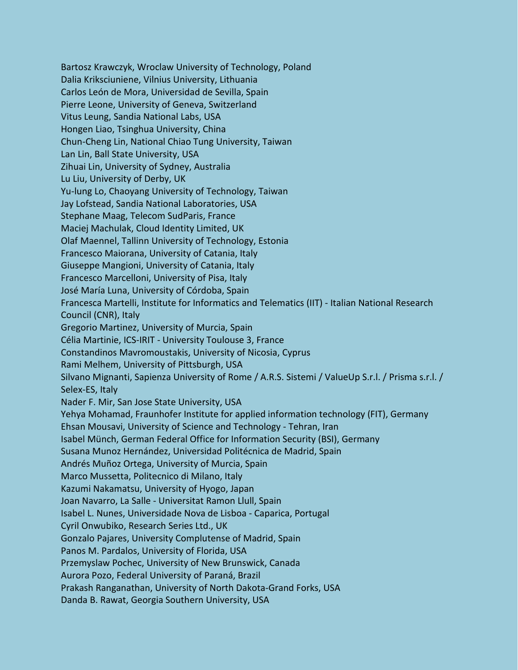Bartosz Krawczyk, Wroclaw University of Technology, Poland Dalia Kriksciuniene, Vilnius University, Lithuania Carlos León de Mora, Universidad de Sevilla, Spain Pierre Leone, University of Geneva, Switzerland Vitus Leung, Sandia National Labs, USA Hongen Liao, Tsinghua University, China Chun-Cheng Lin, National Chiao Tung University, Taiwan Lan Lin, Ball State University, USA Zihuai Lin, University of Sydney, Australia Lu Liu, University of Derby, UK Yu-lung Lo, Chaoyang University of Technology, Taiwan Jay Lofstead, Sandia National Laboratories, USA Stephane Maag, Telecom SudParis, France Maciej Machulak, Cloud Identity Limited, UK Olaf Maennel, Tallinn University of Technology, Estonia Francesco Maiorana, University of Catania, Italy Giuseppe Mangioni, University of Catania, Italy Francesco Marcelloni, University of Pisa, Italy José María Luna, University of Córdoba, Spain Francesca Martelli, Institute for Informatics and Telematics (IIT) - Italian National Research Council (CNR), Italy Gregorio Martinez, University of Murcia, Spain Célia Martinie, ICS-IRIT - University Toulouse 3, France Constandinos Mavromoustakis, University of Nicosia, Cyprus Rami Melhem, University of Pittsburgh, USA Silvano Mignanti, Sapienza University of Rome / A.R.S. Sistemi / ValueUp S.r.l. / Prisma s.r.l. / Selex-ES, Italy Nader F. Mir, San Jose State University, USA Yehya Mohamad, Fraunhofer Institute for applied information technology (FIT), Germany Ehsan Mousavi, University of Science and Technology - Tehran, Iran Isabel Münch, German Federal Office for Information Security (BSI), Germany Susana Munoz Hernández, Universidad Politécnica de Madrid, Spain Andrés Muñoz Ortega, University of Murcia, Spain Marco Mussetta, Politecnico di Milano, Italy Kazumi Nakamatsu, University of Hyogo, Japan Joan Navarro, La Salle - Universitat Ramon Llull, Spain Isabel L. Nunes, Universidade Nova de Lisboa - Caparica, Portugal Cyril Onwubiko, Research Series Ltd., UK Gonzalo Pajares, University Complutense of Madrid, Spain Panos M. Pardalos, University of Florida, USA Przemyslaw Pochec, University of New Brunswick, Canada Aurora Pozo, Federal University of Paraná, Brazil Prakash Ranganathan, University of North Dakota-Grand Forks, USA Danda B. Rawat, Georgia Southern University, USA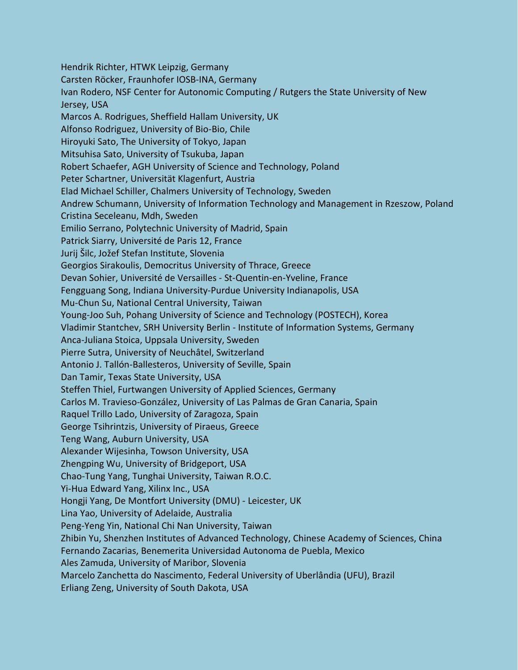Hendrik Richter, HTWK Leipzig, Germany Carsten Röcker, Fraunhofer IOSB-INA, Germany Ivan Rodero, NSF Center for Autonomic Computing / Rutgers the State University of New Jersey, USA Marcos A. Rodrigues, Sheffield Hallam University, UK Alfonso Rodriguez, University of Bio-Bio, Chile Hiroyuki Sato, The University of Tokyo, Japan Mitsuhisa Sato, University of Tsukuba, Japan Robert Schaefer, AGH University of Science and Technology, Poland Peter Schartner, Universität Klagenfurt, Austria Elad Michael Schiller, Chalmers University of Technology, Sweden Andrew Schumann, University of Information Technology and Management in Rzeszow, Poland Cristina Seceleanu, Mdh, Sweden Emilio Serrano, Polytechnic University of Madrid, Spain Patrick Siarry, Université de Paris 12, France Jurij Šilc, Jožef Stefan Institute, Slovenia Georgios Sirakoulis, Democritus University of Thrace, Greece Devan Sohier, Université de Versailles - St-Quentin-en-Yveline, France Fengguang Song, Indiana University-Purdue University Indianapolis, USA Mu-Chun Su, National Central University, Taiwan Young-Joo Suh, Pohang University of Science and Technology (POSTECH), Korea Vladimir Stantchev, SRH University Berlin - Institute of Information Systems, Germany Anca-Juliana Stoica, Uppsala University, Sweden Pierre Sutra, University of Neuchâtel, Switzerland Antonio J. Tallón-Ballesteros, University of Seville, Spain Dan Tamir, Texas State University, USA Steffen Thiel, Furtwangen University of Applied Sciences, Germany Carlos M. Travieso-González, University of Las Palmas de Gran Canaria, Spain Raquel Trillo Lado, University of Zaragoza, Spain George Tsihrintzis, University of Piraeus, Greece Teng Wang, Auburn University, USA Alexander Wijesinha, Towson University, USA Zhengping Wu, University of Bridgeport, USA Chao-Tung Yang, Tunghai University, Taiwan R.O.C. Yi-Hua Edward Yang, Xilinx Inc., USA Hongji Yang, De Montfort University (DMU) - Leicester, UK Lina Yao, University of Adelaide, Australia Peng-Yeng Yin, National Chi Nan University, Taiwan Zhibin Yu, Shenzhen Institutes of Advanced Technology, Chinese Academy of Sciences, China Fernando Zacarias, Benemerita Universidad Autonoma de Puebla, Mexico Ales Zamuda, University of Maribor, Slovenia Marcelo Zanchetta do Nascimento, Federal University of Uberlândia (UFU), Brazil Erliang Zeng, University of South Dakota, USA